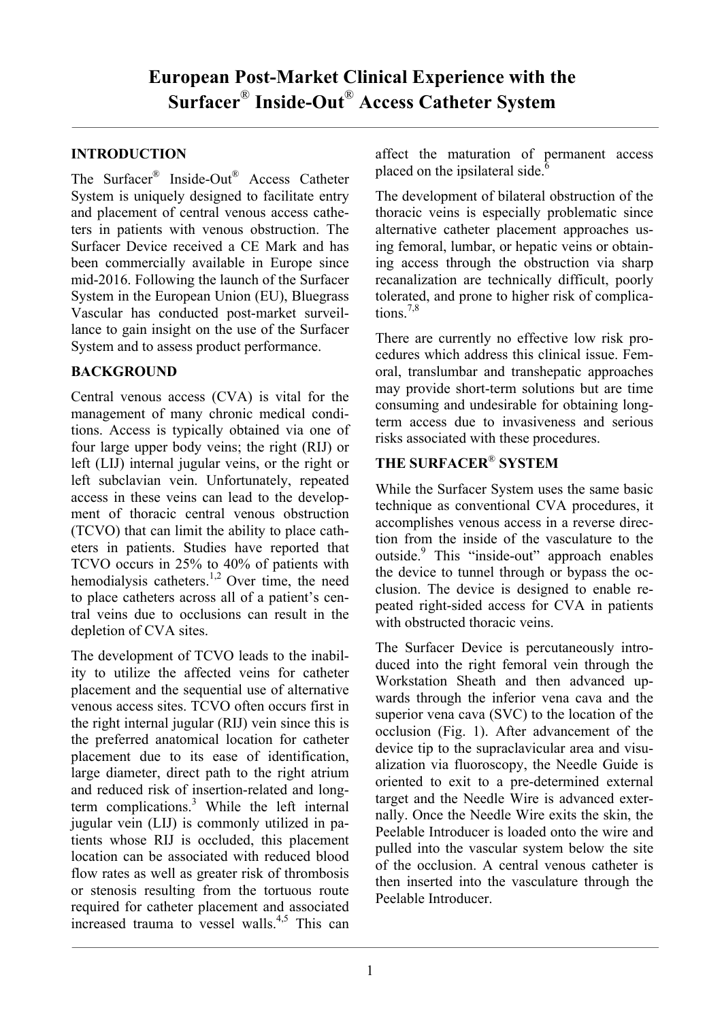## **INTRODUCTION**

The Surfacer® Inside-Out® Access Catheter System is uniquely designed to facilitate entry and placement of central venous access catheters in patients with venous obstruction. The Surfacer Device received a CE Mark and has been commercially available in Europe since mid-2016. Following the launch of the Surfacer System in the European Union (EU), Bluegrass Vascular has conducted post-market surveillance to gain insight on the use of the Surfacer System and to assess product performance.

## **BACKGROUND**

Central venous access (CVA) is vital for the management of many chronic medical conditions. Access is typically obtained via one of four large upper body veins; the right (RIJ) or left (LIJ) internal jugular veins, or the right or left subclavian vein. Unfortunately, repeated access in these veins can lead to the development of thoracic central venous obstruction (TCVO) that can limit the ability to place catheters in patients. Studies have reported that TCVO occurs in 25% to 40% of patients with hemodialysis catheters.<sup>1,2</sup> Over time, the need to place catheters across all of a patient's central veins due to occlusions can result in the depletion of CVA sites.

The development of TCVO leads to the inability to utilize the affected veins for catheter placement and the sequential use of alternative venous access sites. TCVO often occurs first in the right internal jugular (RIJ) vein since this is the preferred anatomical location for catheter placement due to its ease of identification, large diameter, direct path to the right atrium and reduced risk of insertion-related and longterm complications. <sup>3</sup> While the left internal jugular vein (LIJ) is commonly utilized in patients whose RIJ is occluded, this placement location can be associated with reduced blood flow rates as well as greater risk of thrombosis or stenosis resulting from the tortuous route required for catheter placement and associated increased trauma to vessel walls. 4,5 This can affect the maturation of permanent access placed on the ipsilateral side. $\delta$ 

The development of bilateral obstruction of the thoracic veins is especially problematic since alternative catheter placement approaches using femoral, lumbar, or hepatic veins or obtaining access through the obstruction via sharp recanalization are technically difficult, poorly tolerated, and prone to higher risk of complications. 7,8

There are currently no effective low risk procedures which address this clinical issue. Femoral, translumbar and transhepatic approaches may provide short-term solutions but are time consuming and undesirable for obtaining longterm access due to invasiveness and serious risks associated with these procedures.

# **THE SURFACER**® **SYSTEM**

While the Surfacer System uses the same basic technique as conventional CVA procedures, it accomplishes venous access in a reverse direction from the inside of the vasculature to the outside.<sup>9</sup> This "inside-out" approach enables the device to tunnel through or bypass the occlusion. The device is designed to enable repeated right-sided access for CVA in patients with obstructed thoracic veins.

The Surfacer Device is percutaneously introduced into the right femoral vein through the Workstation Sheath and then advanced upwards through the inferior vena cava and the superior vena cava (SVC) to the location of the occlusion (Fig. 1). After advancement of the device tip to the supraclavicular area and visualization via fluoroscopy, the Needle Guide is oriented to exit to a pre-determined external target and the Needle Wire is advanced externally. Once the Needle Wire exits the skin, the Peelable Introducer is loaded onto the wire and pulled into the vascular system below the site of the occlusion. A central venous catheter is then inserted into the vasculature through the Peelable Introducer.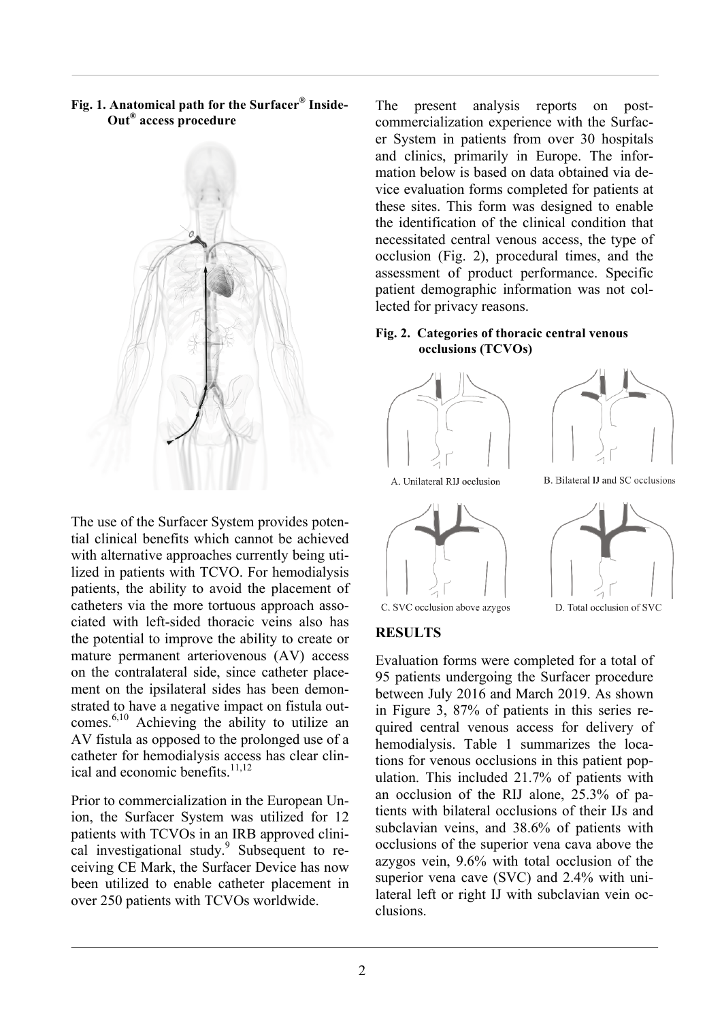**Fig. 1. Anatomical path for the Surfacer® Inside- Out® access procedure**



The use of the Surfacer System provides potential clinical benefits which cannot be achieved with alternative approaches currently being utilized in patients with TCVO. For hemodialysis patients, the ability to avoid the placement of catheters via the more tortuous approach associated with left-sided thoracic veins also has the potential to improve the ability to create or mature permanent arteriovenous (AV) access on the contralateral side, since catheter placement on the ipsilateral sides has been demonstrated to have a negative impact on fistula outcomes. 6,10 Achieving the ability to utilize an AV fistula as opposed to the prolonged use of a catheter for hemodialysis access has clear clinical and economic benefits. 11,12

Prior to commercialization in the European Union, the Surfacer System was utilized for 12 patients with TCVOs in an IRB approved clinical investigational study.<sup>9</sup> Subsequent to receiving CE Mark, the Surfacer Device has now been utilized to enable catheter placement in over 250 patients with TCVOs worldwide.

The present analysis reports on postcommercialization experience with the Surfacer System in patients from over 30 hospitals and clinics, primarily in Europe. The information below is based on data obtained via device evaluation forms completed for patients at these sites. This form was designed to enable the identification of the clinical condition that necessitated central venous access, the type of occlusion (Fig. 2), procedural times, and the assessment of product performance. Specific patient demographic information was not collected for privacy reasons.

#### **Fig. 2. Categories of thoracic central venous occlusions (TCVOs)**





B. Bilateral IJ and SC occlusions

A. Unilateral RIJ occlusion





D. Total occlusion of SVC

C. SVC occlusion above azygos

### **RESULTS**

Evaluation forms were completed for a total of 95 patients undergoing the Surfacer procedure between July 2016 and March 2019. As shown in Figure 3, 87% of patients in this series required central venous access for delivery of hemodialysis. Table 1 summarizes the locations for venous occlusions in this patient population. This included 21.7% of patients with an occlusion of the RIJ alone, 25.3% of patients with bilateral occlusions of their IJs and subclavian veins, and 38.6% of patients with occlusions of the superior vena cava above the azygos vein, 9.6% with total occlusion of the superior vena cave (SVC) and 2.4% with unilateral left or right IJ with subclavian vein occlusions.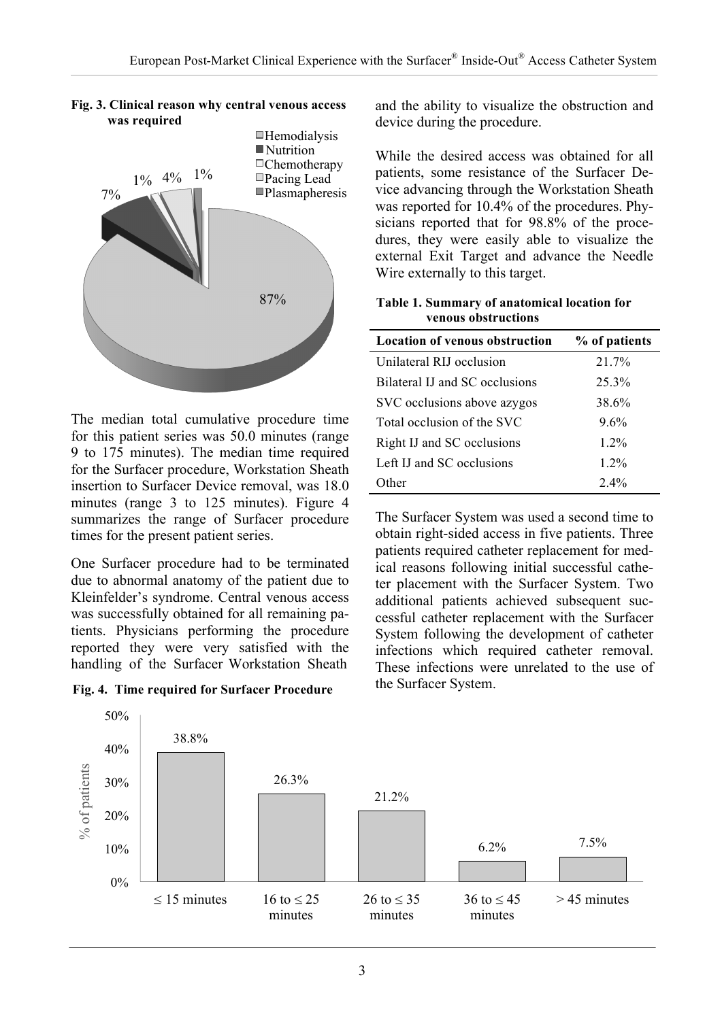

**Fig. 3. Clinical reason why central venous access was required**

The median total cumulative procedure time for this patient series was 50.0 minutes (range 9 to 175 minutes). The median time required for the Surfacer procedure, Workstation Sheath insertion to Surfacer Device removal, was 18.0 minutes (range 3 to 125 minutes). Figure 4 summarizes the range of Surfacer procedure times for the present patient series.

One Surfacer procedure had to be terminated due to abnormal anatomy of the patient due to Kleinfelder's syndrome. Central venous access was successfully obtained for all remaining patients. Physicians performing the procedure reported they were very satisfied with the handling of the Surfacer Workstation Sheath

**Fig. 4. Time required for Surfacer Procedure**

and the ability to visualize the obstruction and device during the procedure.

While the desired access was obtained for all patients, some resistance of the Surfacer Device advancing through the Workstation Sheath was reported for 10.4% of the procedures. Physicians reported that for 98.8% of the procedures, they were easily able to visualize the external Exit Target and advance the Needle Wire externally to this target.

|                     | Table 1. Summary of anatomical location for |  |
|---------------------|---------------------------------------------|--|
| venous obstructions |                                             |  |

| <b>Location of venous obstruction</b> | % of patients |
|---------------------------------------|---------------|
| Unilateral RIJ occlusion              | 21.7%         |
| Bilateral IJ and SC occlusions        | 25.3%         |
| SVC occlusions above azygos           | 38.6%         |
| Total occlusion of the SVC            | 9.6%          |
| Right IJ and SC occlusions            | 12%           |
| Left IJ and SC occlusions             | $1.2\%$       |
| Other                                 | $2.4\%$       |

The Surfacer System was used a second time to obtain right-sided access in five patients. Three patients required catheter replacement for medical reasons following initial successful catheter placement with the Surfacer System. Two additional patients achieved subsequent successful catheter replacement with the Surfacer System following the development of catheter infections which required catheter removal. These infections were unrelated to the use of the Surfacer System.